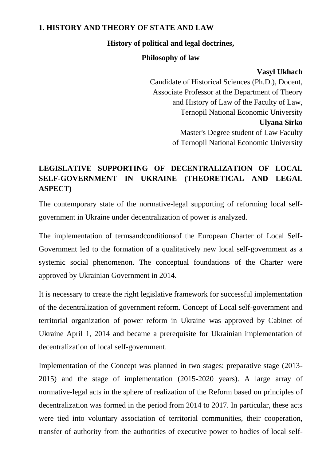#### **1. HISTORY AND THEORY OF STATE AND LAW**

#### **History of political and legal doctrines,**

#### **Philosophy of law**

#### **Vasyl Ukhach**

Candidate of Historical Sciences (Ph.D.), Docent, Associate Professor at the Department of Theory and History of Law of the Faculty of Law, Ternopil National Economic University **Ulyana Sirko** Master's Degree student of Law Faculty of Ternopil National Economic University

## **LEGISLATIVE SUPPORTING OF DECENTRALIZATION OF LOCAL SELF-GOVERNMENT IN UKRAINE (THEORETICAL AND LEGAL ASPECT)**

The contemporary state of the normative-legal supporting of reforming local selfgovernment in Ukraine under decentralization of power is analyzed.

The implementation of termsandconditionsof the European Charter of Local Self-Government led to the formation of a qualitatively new local self-government as a systemic social phenomenon. The conceptual foundations of the Charter were approved by Ukrainian Government in 2014.

It is necessary to create the right legislative framework for successful implementation of the decentralization of government reform. Concept of Local self-government and territorial organization of power reform in Ukraine was approved by Cabinet of Ukraine April 1, 2014 and became a prerequisite for Ukrainian implementation of decentralization of local self-government.

Implementation of the Concept was planned in two stages: preparative stage (2013- 2015) and the stage of implementation (2015-2020 years). A large array of normative-legal acts in the sphere of realization of the Reform based on principles of decentralization was formed in the period from 2014 to 2017. In particular, these acts were tied into voluntary association of territorial communities, their cooperation, transfer of authority from the authorities of executive power to bodies of local self-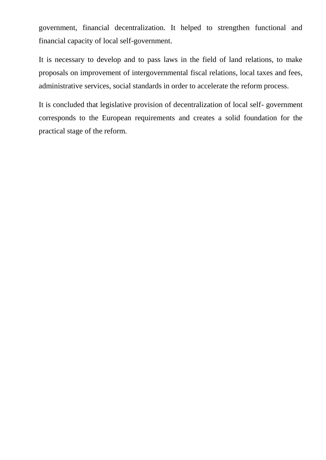government, financial decentralization. It helped to strengthen functional and financial capacity of local self-government.

It is necessary to develop and to pass laws in the field of land relations, to make proposals on improvement of intergovernmental fiscal relations, local taxes and fees, administrative services, social standards in order to accelerate the reform process.

It is concluded that legislative provision of decentralization of local self- government corresponds to the European requirements and creates a solid foundation for the practical stage of the reform.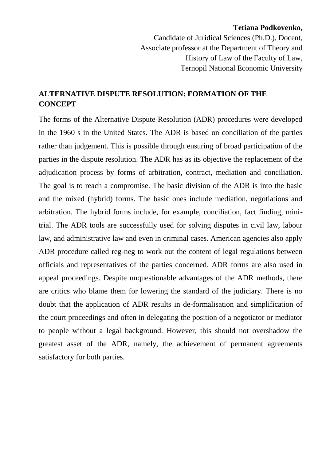#### **Tetiana Podkovenko,**

Candidate of Juridical Sciences (Ph.D.), Docent, Associate professor at the Department of Theory and History of Law of the Faculty of Law, Ternopil National Economic University

## **ALTERNATIVE DISPUTE RESOLUTION: FORMATION OF THE CONCEPT**

The forms of the Alternative Dispute Resolution (ADR) procedures were developed in the 1960 s in the United States. The ADR is based on conciliation of the parties rather than judgement. This is possible through ensuring of broad participation of the parties in the dispute resolution. The ADR has as its objective the replacement of the adjudication process by forms of arbitration, contract, mediation and conciliation. The goal is to reach a compromise. The basic division of the ADR is into the basic and the mixed (hybrid) forms. The basic ones include mediation, negotiations and arbitration. The hybrid forms include, for example, conciliation, fact finding, minitrial. The ADR tools are successfully used for solving disputes in civil law, labour law, and administrative law and even in criminal cases. American agencies also apply ADR procedure called reg-neg to work out the content of legal regulations between officials and representatives of the parties concerned. ADR forms are also used in appeal proceedings. Despite unquestionable advantages of the ADR methods, there are critics who blame them for lowering the standard of the judiciary. There is no doubt that the application of ADR results in de-formalisation and simplification of the court proceedings and often in delegating the position of a negotiator or mediator to people without a legal background. However, this should not overshadow the greatest asset of the ADR, namely, the achievement of permanent agreements satisfactory for both parties.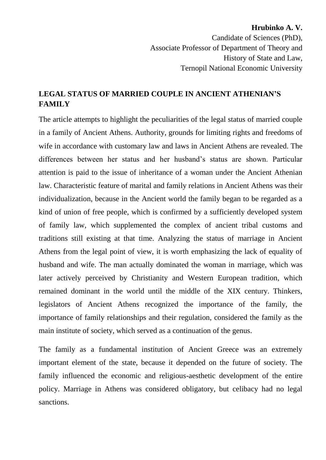## **Hrubinko A. V.** Candidate of Sciences (PhD), Associate Professor of Department of Theory and History of State and Law, Ternopil National Economic University

## **LEGAL STATUS OF MARRIED COUPLE IN ANCIENT ATHENIAN'S FAMILY**

The article attempts to highlight the peculiarities of the legal status of married couple in a family of Ancient Athens. Authority, grounds for limiting rights and freedoms of wife in accordance with customary law and laws in Ancient Athens are revealed. The differences between her status and her husband's status are shown. Particular attention is paid to the issue of inheritance of a woman under the Ancient Athenian law. Characteristic feature of marital and family relations in Ancient Athens was their individualization, because in the Ancient world the family began to be regarded as a kind of union of free people, which is confirmed by a sufficiently developed system of family law, which supplemented the complex of ancient tribal customs and traditions still existing at that time. Analyzing the status of marriage in Ancient Athens from the legal point of view, it is worth emphasizing the lack of equality of husband and wife. The man actually dominated the woman in marriage, which was later actively perceived by Christianity and Western European tradition, which remained dominant in the world until the middle of the XIX century. Thinkers, legislators of Ancient Athens recognized the importance of the family, the importance of family relationships and their regulation, considered the family as the main institute of society, which served as a continuation of the genus.

The family as a fundamental institution of Ancient Greece was an extremely important element of the state, because it depended on the future of society. The family influenced the economic and religious-aesthetic development of the entire policy. Marriage in Athens was considered obligatory, but celibacy had no legal sanctions.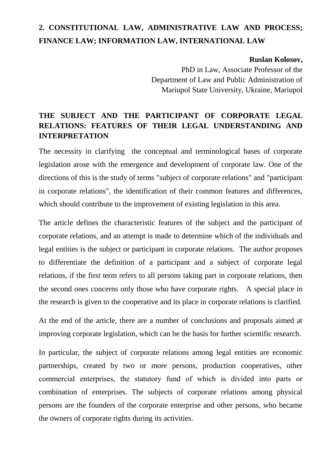# **2. CONSTITUTIONAL LAW, ADMINISTRATIVE LAW AND PROCESS; FINANCE LAW; INFORMATION LAW, INTERNATIONAL LAW**

#### **Ruslan Kolosov,**

PhD in Law, Associate Professor of the Department of Law and Public Administration of Mariupol State University, Ukraine, Mariupol

## **THE SUBJECT AND THE PARTICIPANT OF CORPORATE LEGAL RELATIONS: FEATURES OF THEIR LEGAL UNDERSTANDING AND INTERPRETATION**

The necessity in clarifying the conceptual and terminological bases of corporate legislation arose with the emergence and development of corporate law. One of the directions of this is the study of terms "subject of corporate relations" and "participant in corporate relations", the identification of their common features and differences, which should contribute to the improvement of existing legislation in this area.

The article defines the characteristic features of the subject and the participant of corporate relations, and an attempt is made to determine which of the individuals and legal entities is the subject or participant in corporate relations. The author proposes to differentiate the definition of a participant and a subject of corporate legal relations, if the first term refers to all persons taking part in corporate relations, then the second ones concerns only those who have corporate rights. A special place in the research is given to the cooperative and its place in corporate relations is clarified.

At the end of the article, there are a number of conclusions and proposals aimed at improving corporate legislation, which can be the basis for further scientific research.

In particular, the subject of corporate relations among legal entities are economic partnerships, created by two or more persons, production cooperatives, other commercial enterprises, the statutory fund оf which is divided into parts or combination of enterprises. The subjects of corporate relations among physical persons are the founders of the corporate enterprise and other persons, who became the owners of corporate rights during its activities.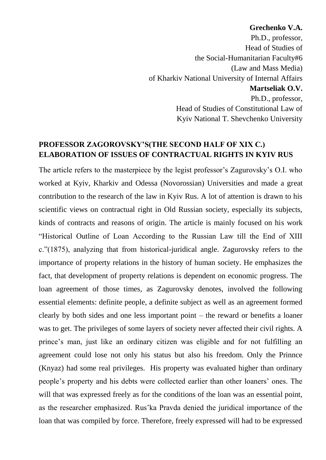#### **Grechenko V.A.**

Ph.D., professor, Head of Studies of the Social-Humanitarian Faculty#6 (Law and Mass Media) of Kharkiv National University of Internal Affairs **Martseliak O.V.**  Ph.D., professor, Head of Studies of Constitutional Law of Kyiv National T. Shevchenko University

#### **PROFESSOR ZAGOROVSKY'S(THE SECOND HALF OF XIX C.) ELABORATION OF ISSUES OF CONTRACTUAL RIGHTS IN KYIV RUS**

The article refers to the masterpiece by the legist professor's Zagurovsky's O.I. who worked at Kyiv, Kharkiv and Odessa (Novorossian) Universities and made a great contribution to the research of the law in Kyiv Rus. A lot of attention is drawn to his scientific views on contractual right in Old Russian society, especially its subjects, kinds of contracts and reasons of origin. The article is mainly focused on his work "Historical Outline of Loan According to the Russian Law till the End of XIII c."(1875), analyzing that from historical-juridical angle. Zagurovsky refers to the importance of property relations in the history of human society. He emphasizes the fact, that development of property relations is dependent on economic progress. The loan agreement of those times, as Zagurovsky denotes, involved the following essential elements: definite people, a definite subject as well as an agreement formed clearly by both sides and one less important point – the reward or benefits a loaner was to get. The privileges of some layers of society never affected their civil rights. A prince's man, just like an ordinary citizen was eligible and for not fulfilling an agreement could lose not only his status but also his freedom. Only the Prinnce (Knyaz) had some real privileges. His property was evaluated higher than ordinary people's property and his debts were collected earlier than other loaners' ones. The will that was expressed freely as for the conditions of the loan was an essential point, as the researcher emphasized. Rus'ka Pravda denied the juridical importance of the loan that was compiled by force. Therefore, freely expressed will had to be expressed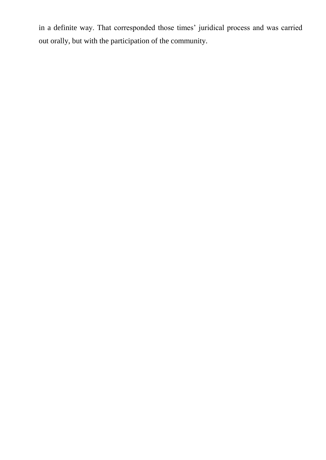in a definite way. That corresponded those times' juridical process and was carried out orally, but with the participation of the community.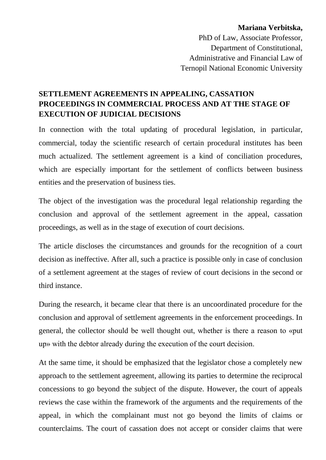**Mariana Verbitska,**  PhD of Law, Associate Professor, Department of Constitutional, Administrative and Financial Law of Ternopil National Economic University

## **SETTLEMENT AGREEMENTS IN APPEALING, CASSATION PROCEEDINGS IN COMMERCIAL PROCESS AND AT THE STAGE OF EXECUTION OF JUDICIAL DECISIONS**

In connection with the total updating of procedural legislation, in particular, commercial, today the scientific research of certain procedural institutes has been much actualized. The settlement agreement is a kind of conciliation procedures, which are especially important for the settlement of conflicts between business entities and the preservation of business ties.

The object of the investigation was the procedural legal relationship regarding the conclusion and approval of the settlement agreement in the appeal, cassation proceedings, as well as in the stage of execution of court decisions.

The article discloses the circumstances and grounds for the recognition of a court decision as ineffective. After all, such a practice is possible only in case of conclusion of a settlement agreement at the stages of review of court decisions in the second or third instance.

During the research, it became clear that there is an uncoordinated procedure for the conclusion and approval of settlement agreements in the enforcement proceedings. In general, the collector should be well thought out, whether is there a reason to «put up» with the debtor already during the execution of the court decision.

At the same time, it should be emphasized that the legislator chose a completely new approach to the settlement agreement, allowing its parties to determine the reciprocal concessions to go beyond the subject of the dispute. However, the court of appeals reviews the case within the framework of the arguments and the requirements of the appeal, in which the complainant must not go beyond the limits of claims or counterclaims. The court of cassation does not accept or consider claims that were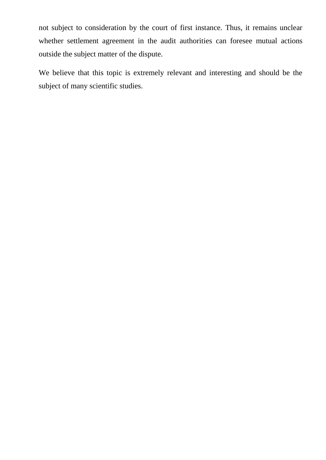not subject to consideration by the court of first instance. Thus, it remains unclear whether settlement agreement in the audit authorities can foresee mutual actions outside the subject matter of the dispute.

We believe that this topic is extremely relevant and interesting and should be the subject of many scientific studies.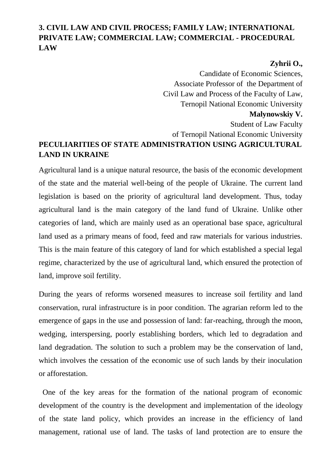## **3. CIVIL LAW AND CIVIL PROCESS; FAMILY LAW; INTERNATIONAL PRIVATE LAW; COMMERCIAL LAW; COMMERCIAL - PROCEDURAL LAW**

## **Zyhrii O.,**

Candidate of Economic Sciences, Associate Professor of the Department of Civil Law and Process of the Faculty of Law, Ternopil National Economic University **Malynowskiy V.**  Student of Law Faculty of Ternopil National Economic University **PECULIARITIES OF STATE ADMINISTRATION USING AGRICULTURAL LAND IN UKRAINE** 

Agricultural land is a unique natural resource, the basis of the economic development of the state and the material well-being of the people of Ukraine. The current land legislation is based on the priority of agricultural land development. Thus, today agricultural land is the main category of the land fund of Ukraine. Unlike other categories of land, which are mainly used as an operational base space, agricultural land used as a primary means of food, feed and raw materials for various industries. This is the main feature of this category of land for which established a special legal regime, characterized by the use of agricultural land, which ensured the protection of land, improve soil fertility.

During the years of reforms worsened measures to increase soil fertility and land conservation, rural infrastructure is in poor condition. The agrarian reform led to the emergence of gaps in the use and possession of land: far-reaching, through the moon, wedging, interspersing, poorly establishing borders, which led to degradation and land degradation. The solution to such a problem may be the conservation of land, which involves the cessation of the economic use of such lands by their inoculation or afforestation.

 One of the key areas for the formation of the national program of economic development of the country is the development and implementation of the ideology of the state land policy, which provides an increase in the efficiency of land management, rational use of land. The tasks of land protection are to ensure the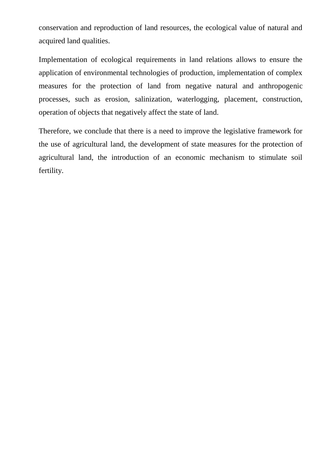conservation and reproduction of land resources, the ecological value of natural and acquired land qualities.

Implementation of ecological requirements in land relations allows to ensure the application of environmental technologies of production, implementation of complex measures for the protection of land from negative natural and anthropogenic processes, such as erosion, salinization, waterlogging, placement, construction, operation of objects that negatively affect the state of land.

Therefore, we conclude that there is a need to improve the legislative framework for the use of agricultural land, the development of state measures for the protection of agricultural land, the introduction of an economic mechanism to stimulate soil fertility.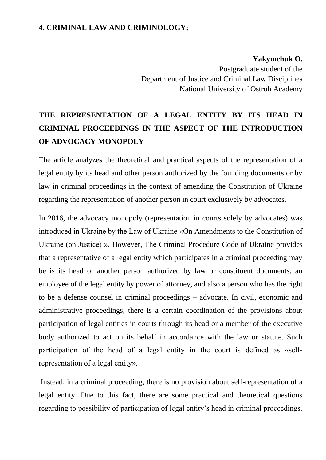#### **4. CRIMINAL LAW AND CRIMINOLOGY;**

#### **Yakymchuk O.**

Postgraduate student of the Department of Justice and Criminal Law Disciplines National University of Ostroh Academy

# **THE REPRESENTATION OF A LEGAL ENTITY BY ITS HEAD IN CRIMINAL PROCEEDINGS IN THE ASPECT OF THE INTRODUCTION OF ADVOCACY MONOPOLY**

The article analyzes the theoretical and practical aspects of the representation of a legal entity by its head and other person authorized by the founding documents or by law in criminal proceedings in the context of amending the Constitution of Ukraine regarding the representation of another person in court exclusively by advocates.

In 2016, the advocacy monopoly (representation in courts solely by advocates) was introduced in Ukraine by the Law of Ukraine «On Amendments to the Constitution of Ukraine (on Justice) ». However, The Criminal Procedure Code of Ukraine provides that a representative of a legal entity which participates in a criminal proceeding may be is its head or another person authorized by law or constituent documents, an employee of the legal entity by power of attorney, and also a person who has the right to be a defense counsel in criminal proceedings – advocate. In civil, economic and administrative proceedings, there is a certain coordination of the provisions about participation of legal entities in courts through its head or a member of the executive body authorized to act on its behalf in accordance with the law or statute. Such participation of the head of a legal entity in the court is defined as «selfrepresentation of a legal entity».

Instead, in a criminal proceeding, there is no provision about self-representation of a legal entity. Due to this fact, there are some practical and theoretical questions regarding to possibility of participation of legal entity's head in criminal proceedings.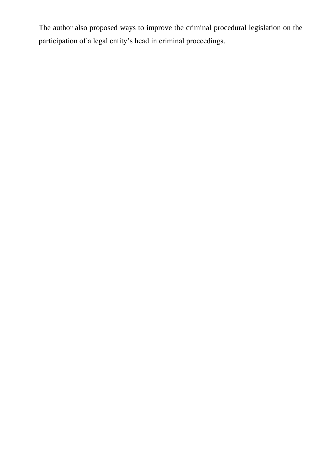The author also proposed ways to improve the criminal procedural legislation on the participation of a legal entity's head in criminal proceedings.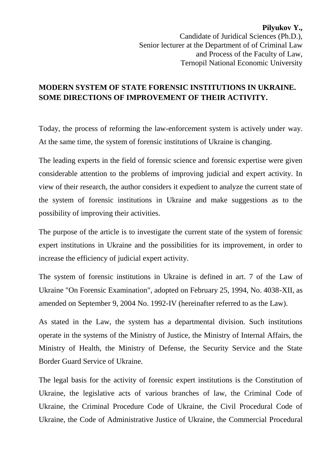**Pilyukov Y.,** Candidate of Juridical Sciences (Ph.D.), Senior lecturer at the Department of of Criminal Law and Process of the Faculty of Law, Ternopil National Economic University

#### **MODERN SYSTEM OF STATE FORENSIC INSTITUTIONS IN UKRAINE. SOME DIRECTIONS OF IMPROVEMENT OF THEIR ACTIVITY.**

Today, the process of reforming the law-enforcement system is actively under way. At the same time, the system of forensic institutions of Ukraine is changing.

The leading experts in the field of forensic science and forensic expertise were given considerable attention to the problems of improving judicial and expert activity. In view of their research, the author considers it expedient to analyze the current state of the system of forensic institutions in Ukraine and make suggestions as to the possibility of improving their activities.

The purpose of the article is to investigate the current state of the system of forensic expert institutions in Ukraine and the possibilities for its improvement, in order to increase the efficiency of judicial expert activity.

The system of forensic institutions in Ukraine is defined in art. 7 of the Law of Ukraine "On Forensic Examination", adopted on February 25, 1994, No. 4038-XII, as amended on September 9, 2004 No. 1992-IV (hereinafter referred to as the Law).

As stated in the Law, the system has a departmental division. Such institutions operate in the systems of the Ministry of Justice, the Ministry of Internal Affairs, the Ministry of Health, the Ministry of Defense, the Security Service and the State Border Guard Service of Ukraine.

The legal basis for the activity of forensic expert institutions is the Constitution of Ukraine, the legislative acts of various branches of law, the Criminal Code of Ukraine, the Criminal Procedure Code of Ukraine, the Civil Procedural Code of Ukraine, the Code of Administrative Justice of Ukraine, the Commercial Procedural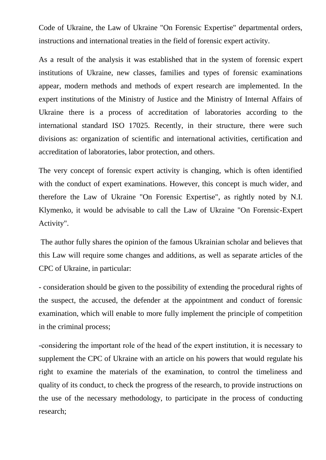Code of Ukraine, the Law of Ukraine "On Forensic Expertise" departmental orders, instructions and international treaties in the field of forensic expert activity.

As a result of the analysis it was established that in the system of forensic expert institutions of Ukraine, new classes, families and types of forensic examinations appear, modern methods and methods of expert research are implemented. In the expert institutions of the Ministry of Justice and the Ministry of Internal Affairs of Ukraine there is a process of accreditation of laboratories according to the international standard ISO 17025. Recently, in their structure, there were such divisions as: organization of scientific and international activities, certification and accreditation of laboratories, labor protection, and others.

The very concept of forensic expert activity is changing, which is often identified with the conduct of expert examinations. However, this concept is much wider, and therefore the Law of Ukraine "On Forensic Expertise", as rightly noted by N.I. Klymenko, it would be advisable to call the Law of Ukraine "On Forensic-Expert Activity".

The author fully shares the opinion of the famous Ukrainian scholar and believes that this Law will require some changes and additions, as well as separate articles of the CPC of Ukraine, in particular:

- consideration should be given to the possibility of extending the procedural rights of the suspect, the accused, the defender at the appointment and conduct of forensic examination, which will enable to more fully implement the principle of competition in the criminal process;

-сonsidering the important role of the head of the expert institution, it is necessary to supplement the CPC of Ukraine with an article on his powers that would regulate his right to examine the materials of the examination, to control the timeliness and quality of its conduct, to check the progress of the research, to provide instructions on the use of the necessary methodology, to participate in the process of conducting research;